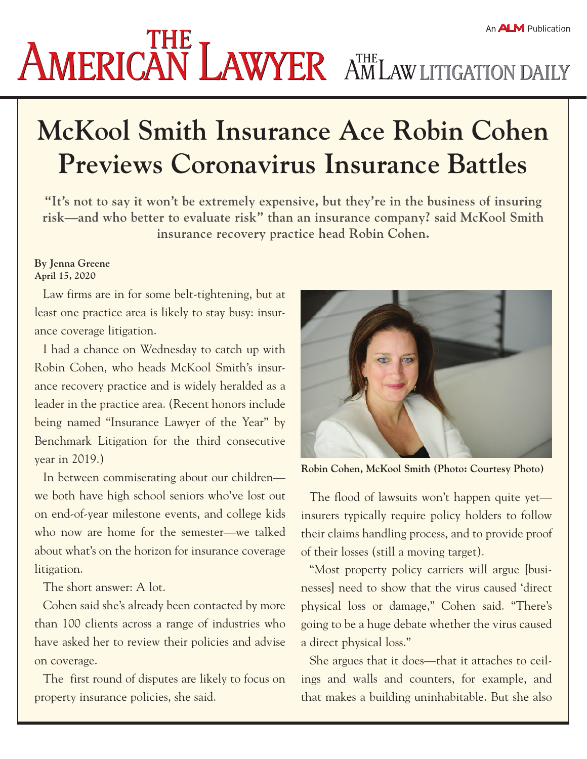## **AMERICAN LAWYER AMLAW LITIGATION DAILY**

## **McKool Smith Insurance Ace Robin Cohen Previews Coronavirus Insurance Battles**

**"It's not to say it won't be extremely expensive, but they're in the business of insuring risk—and who better to evaluate risk" than an insurance company? said McKool Smith insurance recovery practice head Robin Cohen.**

## **By Jenna Greene April 15, 2020**

Law firms are in for some belt-tightening, but at least one practice area is likely to stay busy: insurance coverage litigation.

I had a chance on Wednesday to catch up with Robin Cohen, who heads McKool Smith's insurance recovery practice and is widely heralded as a leader in the practice area. (Recent honors include being named "[Insurance Lawyer of the Year](https://www.prnewswire.com/news-releases/benchmark-litigation-names-robin-cohen-insurance-lawyer-of-the-year-and-honors-mckool-smith-with-texas-law-firm-of-the-year-and-impact-case-of-the-year-award-300805990.html)" by Benchmark Litigation for the third consecutive year in 2019.)

In between commiserating about our children we both have high school seniors who've lost out on end-of-year milestone events, and college kids who now are home for the semester—we talked about what's on the horizon for insurance coverage litigation.

The short answer: A lot.

Cohen said she's already been contacted by more than 100 clients across a range of industries who have asked her to review their policies and advise on coverage.

The first round of disputes are likely to focus on property insurance policies, she said.



**Robin Cohen, McKool Smith (Photo: Courtesy Photo)**

The flood of lawsuits won't happen quite yet insurers typically require policy holders to follow their claims handling process, and to provide proof of their losses (still a moving target).

"Most property policy carriers will argue [businesses] need to show that the virus caused 'direct physical loss or damage," Cohen said. "There's going to be a huge debate whether the virus caused a direct physical loss."

She argues that it does—that it attaches to ceilings and walls and counters, for example, and that makes a building uninhabitable. But she also